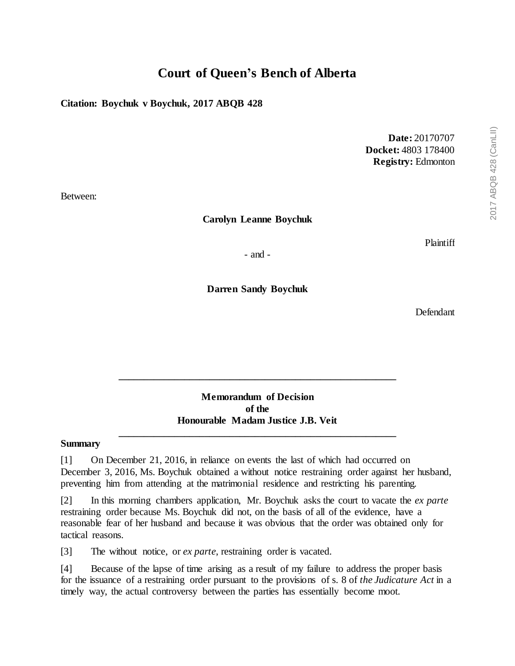# **Court of Queen's Bench of Alberta**

### **Citation: Boychuk v Boychuk, 2017 ABQB 428**

**Date:** 20170707 **Docket:** 4803 178400 **Registry:** Edmonton

Between:

#### **Carolyn Leanne Boychuk**

Plaintiff

- and -

**Darren Sandy Boychuk**

Defendant

### **Memorandum of Decision of the Honourable Madam Justice J.B. Veit**

**\_\_\_\_\_\_\_\_\_\_\_\_\_\_\_\_\_\_\_\_\_\_\_\_\_\_\_\_\_\_\_\_\_\_\_\_\_\_\_\_\_\_\_\_\_\_\_\_\_\_\_\_\_\_\_**

**\_\_\_\_\_\_\_\_\_\_\_\_\_\_\_\_\_\_\_\_\_\_\_\_\_\_\_\_\_\_\_\_\_\_\_\_\_\_\_\_\_\_\_\_\_\_\_\_\_\_\_\_\_\_\_**

#### **Summary**

[1] On December 21, 2016, in reliance on events the last of which had occurred on December 3, 2016, Ms. Boychuk obtained a without notice restraining order against her husband, preventing him from attending at the matrimonial residence and restricting his parenting.

[2] In this morning chambers application, Mr. Boychuk asks the court to vacate the *ex parte* restraining order because Ms. Boychuk did not, on the basis of all of the evidence, have a reasonable fear of her husband and because it was obvious that the order was obtained only for tactical reasons.

[3] The without notice, or *ex parte*, restraining order is vacated.

[4] Because of the lapse of time arising as a result of my failure to address the proper basis for the issuance of a restraining order pursuant to the provisions of s. 8 of *the Judicature Act* in a timely way, the actual controversy between the parties has essentially become moot.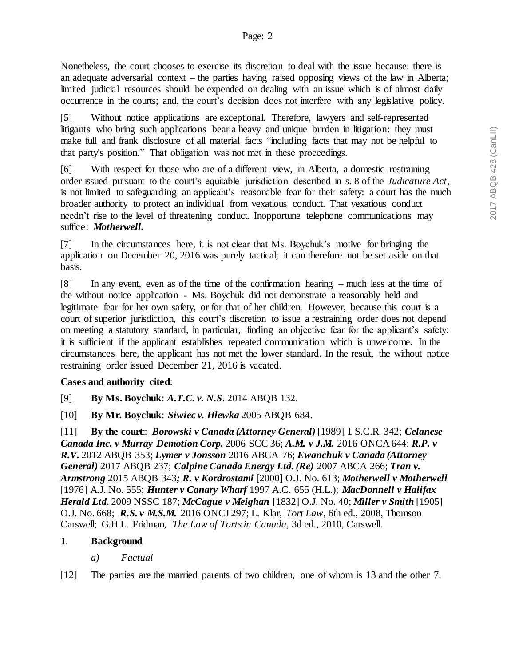Nonetheless, the court chooses to exercise its discretion to deal with the issue because: there is an adequate adversarial context – the parties having raised opposing views of the law in Alberta; limited judicial resources should be expended on dealing with an issue which is of almost daily occurrence in the courts; and, the court's decision does not interfere with any legislative policy.

[5] Without notice applications are exceptional. Therefore, lawyers and self-represented litigants who bring such applications bear a heavy and unique burden in litigation: they must make full and frank disclosure of all material facts "including facts that may not be helpful to that party's position." That obligation was not met in these proceedings.

[6] With respect for those who are of a different view, in Alberta, a domestic restraining order issued pursuant to the court's equitable jurisdiction described in s. 8 of the *Judicature Act*, is not limited to safeguarding an applicant's reasonable fear for their safety: a court has the much broader authority to protect an individual from vexatious conduct. That vexatious conduct needn't rise to the level of threatening conduct. Inopportune telephone communications may suffice: *Motherwell.*

[7] In the circumstances here, it is not clear that Ms. Boychuk's motive for bringing the application on December 20, 2016 was purely tactical; it can therefore not be set aside on that basis.

[8] In any event, even as of the time of the confirmation hearing – much less at the time of the without notice application - Ms. Boychuk did not demonstrate a reasonably held and legitimate fear for her own safety, or for that of her children. However, because this court is a court of superior jurisdiction, this court's discretion to issue a restraining order does not depend on meeting a statutory standard, in particular, finding an objective fear for the applicant's safety: it is sufficient if the applicant establishes repeated communication which is unwelcome. In the circumstances here, the applicant has not met the lower standard. In the result, the without notice restraining order issued December 21, 2016 is vacated.

# **Cases and authority cited**:

[9] **By Ms. Boychuk**: *A.T.C. v. N.S*. 2014 ABQB 132.

[10] **By Mr. Boychuk**: *Siwiec v. Hlewka* 2005 ABQB 684.

[11] **By the court**:: *Borowski v Canada (Attorney General)* [1989] 1 S.C.R. 342; *Celanese Canada Inc. v Murray Demotion Corp.* 2006 SCC 36; *A.M. v J.M.* 2016 ONCA 644; *R.P. v R.V.* 2012 ABQB 353; *Lymer v Jonsson* 2016 ABCA 76; *Ewanchuk v Canada (Attorney General)* 2017 ABQB 237; *Calpine Canada Energy Ltd. (Re)* 2007 ABCA 266; *Tran v. Armstrong* 2015 ABQB 343*; R. v Kordrostami* [2000] O.J. No. 613; *Motherwell v Motherwell* [1976] A.J. No. 555; *Hunter v Canary Wharf* 1997 A.C. 655 (H.L.); *MacDonnell v Halifax Herald Ltd*. 2009 NSSC 187; *McCague v Meighan* [1832] O.J. No. 40; *Miller v Smith* [1905] O.J. No. 668; *R.S. v M.S.M.* 2016 ONCJ 297; L. Klar, *Tort Law*, 6th ed., 2008, Thomson Carswell; G.H.L. Fridman, *The Law of Torts in Canada,* 3d ed., 2010, Carswell.

# **1**. **Background**

*a) Factual*

[12] The parties are the married parents of two children, one of whom is 13 and the other 7.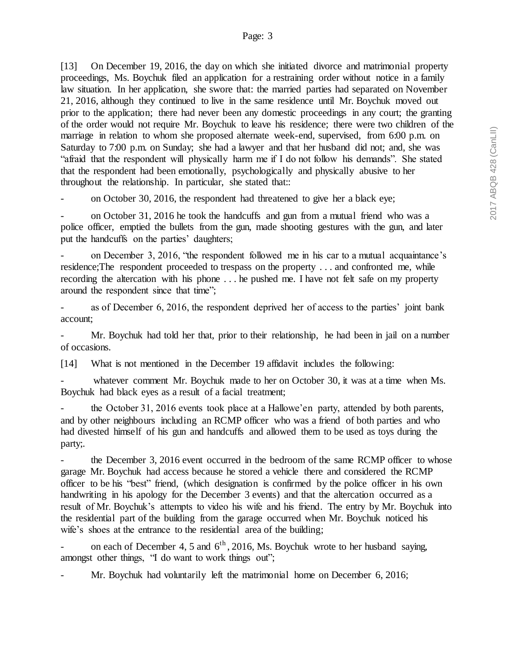[13] On December 19, 2016, the day on which she initiated divorce and matrimonial property proceedings, Ms. Boychuk filed an application for a restraining order without notice in a family law situation. In her application, she swore that: the married parties had separated on November 21, 2016, although they continued to live in the same residence until Mr. Boychuk moved out prior to the application; there had never been any domestic proceedings in any court; the granting of the order would not require Mr. Boychuk to leave his residence; there were two children of the marriage in relation to whom she proposed alternate week-end, supervised, from 6:00 p.m. on Saturday to 7:00 p.m. on Sunday; she had a lawyer and that her husband did not; and, she was "afraid that the respondent will physically harm me if I do not follow his demands". She stated that the respondent had been emotionally, psychologically and physically abusive to her throughout the relationship. In particular, she stated that::

on October 30, 2016, the respondent had threatened to give her a black eye;

on October 31, 2016 he took the handcuffs and gun from a mutual friend who was a police officer, emptied the bullets from the gun, made shooting gestures with the gun, and later put the handcuffs on the parties' daughters;

- on December 3, 2016, "the respondent followed me in his car to a mutual acquaintance's residence;The respondent proceeded to trespass on the property . . . and confronted me, while recording the altercation with his phone . . . he pushed me. I have not felt safe on my property around the respondent since that time";

as of December 6, 2016, the respondent deprived her of access to the parties' joint bank account;

Mr. Boychuk had told her that, prior to their relationship, he had been in jail on a number of occasions.

[14] What is not mentioned in the December 19 affidavit includes the following:

whatever comment Mr. Boychuk made to her on October 30, it was at a time when Ms. Boychuk had black eyes as a result of a facial treatment;

the October 31, 2016 events took place at a Hallowe'en party, attended by both parents, and by other neighbours including an RCMP officer who was a friend of both parties and who had divested himself of his gun and handcuffs and allowed them to be used as toys during the party;.

the December 3, 2016 event occurred in the bedroom of the same RCMP officer to whose garage Mr. Boychuk had access because he stored a vehicle there and considered the RCMP officer to be his "best" friend, (which designation is confirmed by the police officer in his own handwriting in his apology for the December 3 events) and that the altercation occurred as a result of Mr. Boychuk's attempts to video his wife and his friend. The entry by Mr. Boychuk into the residential part of the building from the garage occurred when Mr. Boychuk noticed his wife's shoes at the entrance to the residential area of the building;

on each of December 4, 5 and  $6<sup>th</sup>$ , 2016, Ms. Boychuk wrote to her husband saying, amongst other things, "I do want to work things out";

Mr. Boychuk had voluntarily left the matrimonial home on December 6, 2016;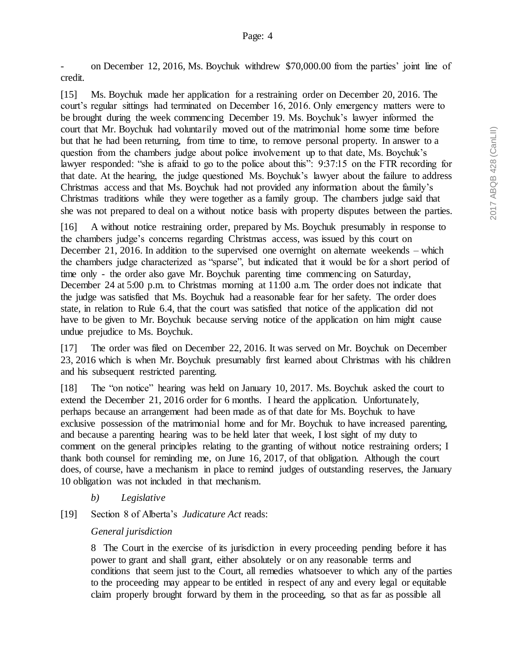on December 12, 2016, Ms. Boychuk withdrew \$70,000.00 from the parties' joint line of credit.

[15] Ms. Boychuk made her application for a restraining order on December 20, 2016. The court's regular sittings had terminated on December 16, 2016. Only emergency matters were to be brought during the week commencing December 19. Ms. Boychuk's lawyer informed the court that Mr. Boychuk had voluntarily moved out of the matrimonial home some time before but that he had been returning, from time to time, to remove personal property. In answer to a question from the chambers judge about police involvement up to that date, Ms. Boychuk's lawyer responded: "she is afraid to go to the police about this": 9:37:15 on the FTR recording for that date. At the hearing, the judge questioned Ms. Boychuk's lawyer about the failure to address Christmas access and that Ms. Boychuk had not provided any information about the family's Christmas traditions while they were together as a family group. The chambers judge said that she was not prepared to deal on a without notice basis with property disputes between the parties.

[16] A without notice restraining order, prepared by Ms. Boychuk presumably in response to the chambers judge's concerns regarding Christmas access, was issued by this court on December 21, 2016. In addition to the supervised one overnight on alternate weekends – which the chambers judge characterized as "sparse", but indicated that it would be for a short period of time only - the order also gave Mr. Boychuk parenting time commencing on Saturday, December 24 at 5:00 p.m. to Christmas morning at 11:00 a.m. The order does not indicate that the judge was satisfied that Ms. Boychuk had a reasonable fear for her safety. The order does state, in relation to Rule 6.4, that the court was satisfied that notice of the application did not have to be given to Mr. Boychuk because serving notice of the application on him might cause undue prejudice to Ms. Boychuk.

[17] The order was filed on December 22, 2016. It was served on Mr. Boychuk on December 23, 2016 which is when Mr. Boychuk presumably first learned about Christmas with his children and his subsequent restricted parenting.

[18] The "on notice" hearing was held on January 10, 2017. Ms. Boychuk asked the court to extend the December 21, 2016 order for 6 months. I heard the application. Unfortunately, perhaps because an arrangement had been made as of that date for Ms. Boychuk to have exclusive possession of the matrimonial home and for Mr. Boychuk to have increased parenting, and because a parenting hearing was to be held later that week, I lost sight of my duty to comment on the general principles relating to the granting of without notice restraining orders; I thank both counsel for reminding me, on June 16, 2017, of that obligation. Although the court does, of course, have a mechanism in place to remind judges of outstanding reserves, the January 10 obligation was not included in that mechanism.

- *b) Legislative*
- [19] Section 8 of Alberta's *Judicature Act* reads:

#### *General jurisdiction*

8 The Court in the exercise of its jurisdiction in every proceeding pending before it has power to grant and shall grant, either absolutely or on any reasonable terms and conditions that seem just to the Court, all remedies whatsoever to which any of the parties to the proceeding may appear to be entitled in respect of any and every legal or equitable claim properly brought forward by them in the proceeding, so that as far as possible all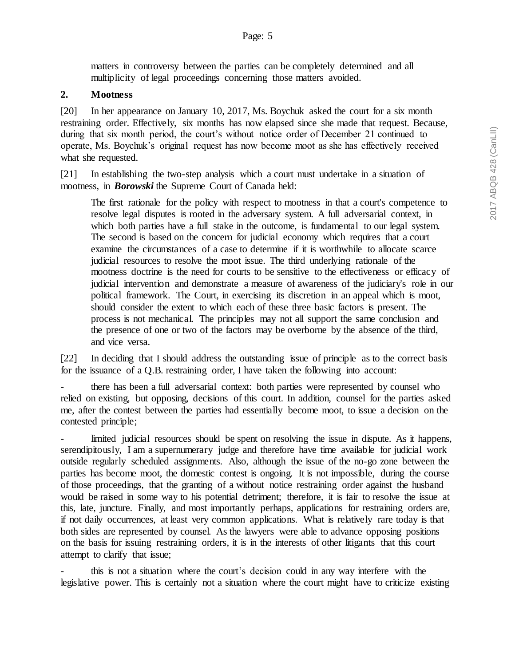matters in controversy between the parties can be completely determined and all multiplicity of legal proceedings concerning those matters avoided.

#### **2. Mootness**

[20] In her appearance on January 10, 2017, Ms. Boychuk asked the court for a six month restraining order. Effectively, six months has now elapsed since she made that request. Because, during that six month period, the court's without notice order of December 21 continued to operate, Ms. Boychuk's original request has now become moot as she has effectively received what she requested.

[21] In establishing the two-step analysis which a court must undertake in a situation of mootness, in *Borowski* the Supreme Court of Canada held:

The first rationale for the policy with respect to mootness in that a court's competence to resolve legal disputes is rooted in the adversary system. A full adversarial context, in which both parties have a full stake in the outcome, is fundamental to our legal system. The second is based on the concern for judicial economy which requires that a court examine the circumstances of a case to determine if it is worthwhile to allocate scarce judicial resources to resolve the moot issue. The third underlying rationale of the mootness doctrine is the need for courts to be sensitive to the effectiveness or efficacy of judicial intervention and demonstrate a measure of awareness of the judiciary's role in our political framework. The Court, in exercising its discretion in an appeal which is moot, should consider the extent to which each of these three basic factors is present. The process is not mechanical. The principles may not all support the same conclusion and the presence of one or two of the factors may be overborne by the absence of the third, and vice versa.

[22] In deciding that I should address the outstanding issue of principle as to the correct basis for the issuance of a Q.B. restraining order, I have taken the following into account:

there has been a full adversarial context: both parties were represented by counsel who relied on existing, but opposing, decisions of this court. In addition, counsel for the parties asked me, after the contest between the parties had essentially become moot, to issue a decision on the contested principle;

limited judicial resources should be spent on resolving the issue in dispute. As it happens, serendipitously, I am a supernumerary judge and therefore have time available for judicial work outside regularly scheduled assignments. Also, although the issue of the no-go zone between the parties has become moot, the domestic contest is ongoing. It is not impossible, during the course of those proceedings, that the granting of a without notice restraining order against the husband would be raised in some way to his potential detriment; therefore, it is fair to resolve the issue at this, late, juncture. Finally, and most importantly perhaps, applications for restraining orders are, if not daily occurrences, at least very common applications. What is relatively rare today is that both sides are represented by counsel. As the lawyers were able to advance opposing positions on the basis for issuing restraining orders, it is in the interests of other litigants that this court attempt to clarify that issue;

this is not a situation where the court's decision could in any way interfere with the legislative power. This is certainly not a situation where the court might have to criticize existing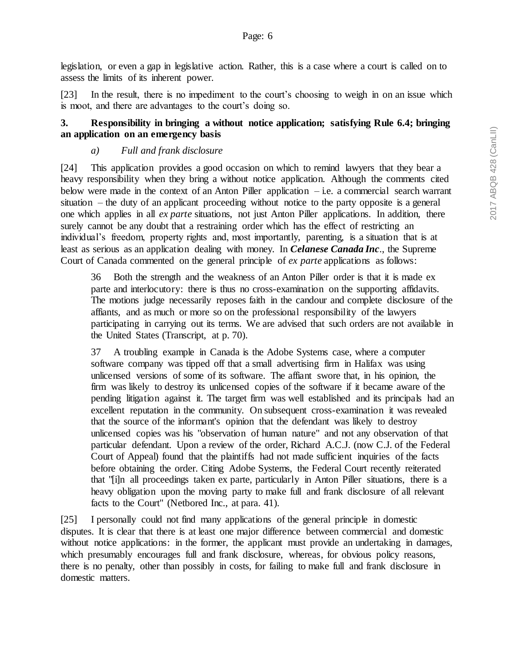legislation, or even a gap in legislative action. Rather, this is a case where a court is called on to assess the limits of its inherent power.

[23] In the result, there is no impediment to the court's choosing to weigh in on an issue which is moot, and there are advantages to the court's doing so.

### **3. Responsibility in bringing a without notice application; satisfying Rule 6.4; bringing an application on an emergency basis**

# *a) Full and frank disclosure*

[24] This application provides a good occasion on which to remind lawyers that they bear a heavy responsibility when they bring a without notice application. Although the comments cited below were made in the context of an Anton Piller application  $-$  i.e. a commercial search warrant situation – the duty of an applicant proceeding without notice to the party opposite is a general one which applies in all *ex parte* situations, not just Anton Piller applications. In addition, there surely cannot be any doubt that a restraining order which has the effect of restricting an individual's freedom, property rights and, most importantly, parenting, is a situation that is at least as serious as an application dealing with money. In *Celanese Canada Inc*., the Supreme Court of Canada commented on the general principle of *ex parte* applications as follows:

36 Both the strength and the weakness of an Anton Piller order is that it is made ex parte and interlocutory: there is thus no cross-examination on the supporting affidavits. The motions judge necessarily reposes faith in the candour and complete disclosure of the affiants, and as much or more so on the professional responsibility of the lawyers participating in carrying out its terms. We are advised that such orders are not available in the United States (Transcript, at p. 70).

37 A troubling example in Canada is the Adobe Systems case, where a computer software company was tipped off that a small advertising firm in Halifax was using unlicensed versions of some of its software. The affiant swore that, in his opinion, the firm was likely to destroy its unlicensed copies of the software if it became aware of the pending litigation against it. The target firm was well established and its principals had an excellent reputation in the community. On subsequent cross-examination it was revealed that the source of the informant's opinion that the defendant was likely to destroy unlicensed copies was his "observation of human nature" and not any observation of that particular defendant. Upon a review of the order, Richard A.C.J. (now C.J. of the Federal Court of Appeal) found that the plaintiffs had not made sufficient inquiries of the facts before obtaining the order. Citing Adobe Systems, the Federal Court recently reiterated that "[i]n all proceedings taken ex parte, particularly in Anton Piller situations, there is a heavy obligation upon the moving party to make full and frank disclosure of all relevant facts to the Court" (Netbored Inc., at para. 41).

[25] I personally could not find many applications of the general principle in domestic disputes. It is clear that there is at least one major difference between commercial and domestic without notice applications: in the former, the applicant must provide an undertaking in damages, which presumably encourages full and frank disclosure, whereas, for obvious policy reasons, there is no penalty, other than possibly in costs, for failing to make full and frank disclosure in domestic matters.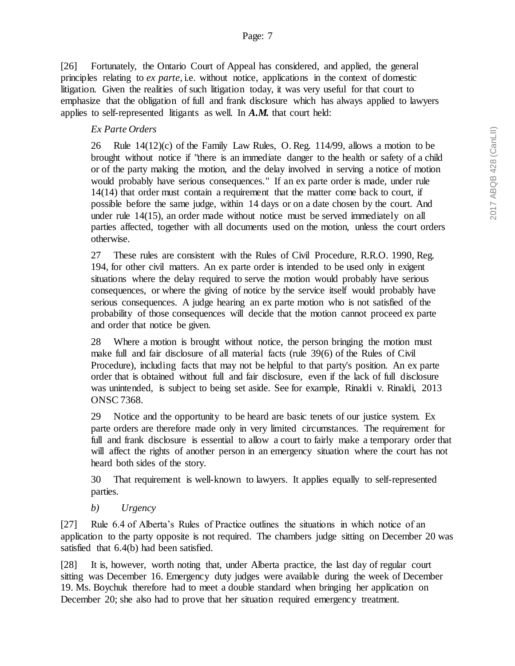[26] Fortunately, the Ontario Court of Appeal has considered, and applied, the general principles relating to *ex parte*, i.e. without notice, applications in the context of domestic litigation. Given the realities of such litigation today, it was very useful for that court to emphasize that the obligation of full and frank disclosure which has always applied to lawyers applies to self-represented litigants as well. In *A.M.* that court held:

#### *Ex Parte Orders*

26 Rule 14(12)(c) of the Family Law Rules, O. Reg. 114/99, allows a motion to be brought without notice if "there is an immediate danger to the health or safety of a child or of the party making the motion, and the delay involved in serving a notice of motion would probably have serious consequences." If an ex parte order is made, under rule 14(14) that order must contain a requirement that the matter come back to court, if possible before the same judge, within 14 days or on a date chosen by the court. And under rule 14(15), an order made without notice must be served immediately on all parties affected, together with all documents used on the motion, unless the court orders otherwise.

27 These rules are consistent with the Rules of Civil Procedure, R.R.O. 1990, Reg. 194, for other civil matters. An ex parte order is intended to be used only in exigent situations where the delay required to serve the motion would probably have serious consequences, or where the giving of notice by the service itself would probably have serious consequences. A judge hearing an ex parte motion who is not satisfied of the probability of those consequences will decide that the motion cannot proceed ex parte and order that notice be given.

28 Where a motion is brought without notice, the person bringing the motion must make full and fair disclosure of all material facts (rule 39(6) of the Rules of Civil Procedure), including facts that may not be helpful to that party's position. An ex parte order that is obtained without full and fair disclosure, even if the lack of full disclosure was unintended, is subject to being set aside. See for example, Rinaldi v. Rinaldi, 2013 ONSC 7368.

29 Notice and the opportunity to be heard are basic tenets of our justice system. Ex parte orders are therefore made only in very limited circumstances. The requirement for full and frank disclosure is essential to allow a court to fairly make a temporary order that will affect the rights of another person in an emergency situation where the court has not heard both sides of the story.

30 That requirement is well-known to lawyers. It applies equally to self-represented parties.

*b) Urgency*

[27] Rule 6.4 of Alberta's Rules of Practice outlines the situations in which notice of an application to the party opposite is not required. The chambers judge sitting on December 20 was satisfied that 6.4(b) had been satisfied.

[28] It is, however, worth noting that, under Alberta practice, the last day of regular court sitting was December 16. Emergency duty judges were available during the week of December 19. Ms. Boychuk therefore had to meet a double standard when bringing her application on December 20; she also had to prove that her situation required emergency treatment.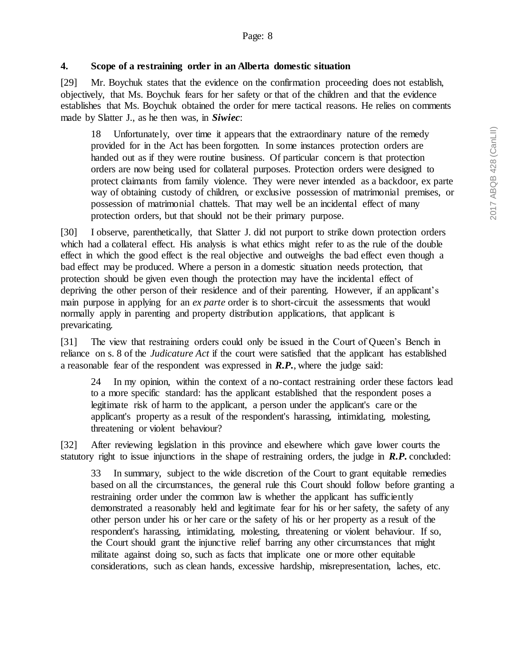#### **4. Scope of a restraining order in an Alberta domestic situation**

[29] Mr. Boychuk states that the evidence on the confirmation proceeding does not establish, objectively, that Ms. Boychuk fears for her safety or that of the children and that the evidence establishes that Ms. Boychuk obtained the order for mere tactical reasons. He relies on comments made by Slatter J., as he then was, in *Siwiec*:

18 Unfortunately, over time it appears that the extraordinary nature of the remedy provided for in the Act has been forgotten. In some instances protection orders are handed out as if they were routine business. Of particular concern is that protection orders are now being used for collateral purposes. Protection orders were designed to protect claimants from family violence. They were never intended as a backdoor, ex parte way of obtaining custody of children, or exclusive possession of matrimonial premises, or possession of matrimonial chattels. That may well be an incidental effect of many protection orders, but that should not be their primary purpose.

[30] I observe, parenthetically, that Slatter J. did not purport to strike down protection orders which had a collateral effect. His analysis is what ethics might refer to as the rule of the double effect in which the good effect is the real objective and outweighs the bad effect even though a bad effect may be produced. Where a person in a domestic situation needs protection, that protection should be given even though the protection may have the incidental effect of depriving the other person of their residence and of their parenting. However, if an applicant's main purpose in applying for an *ex parte* order is to short-circuit the assessments that would normally apply in parenting and property distribution applications, that applicant is prevaricating.

[31] The view that restraining orders could only be issued in the Court of Queen's Bench in reliance on s. 8 of the *Judicature Act* if the court were satisfied that the applicant has established a reasonable fear of the respondent was expressed in *R.P.*, where the judge said:

24 In my opinion, within the context of a no-contact restraining order these factors lead to a more specific standard: has the applicant established that the respondent poses a legitimate risk of harm to the applicant, a person under the applicant's care or the applicant's property as a result of the respondent's harassing, intimidating, molesting, threatening or violent behaviour?

[32] After reviewing legislation in this province and elsewhere which gave lower courts the statutory right to issue injunctions in the shape of restraining orders, the judge in *R.P.* concluded:

33 In summary, subject to the wide discretion of the Court to grant equitable remedies based on all the circumstances, the general rule this Court should follow before granting a restraining order under the common law is whether the applicant has sufficiently demonstrated a reasonably held and legitimate fear for his or her safety, the safety of any other person under his or her care or the safety of his or her property as a result of the respondent's harassing, intimidating, molesting, threatening or violent behaviour. If so, the Court should grant the injunctive relief barring any other circumstances that might militate against doing so, such as facts that implicate one or more other equitable considerations, such as clean hands, excessive hardship, misrepresentation, laches, etc.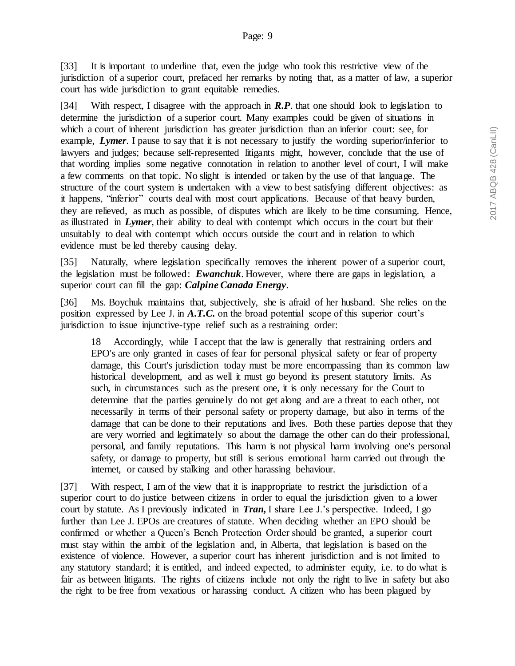[33] It is important to underline that, even the judge who took this restrictive view of the jurisdiction of a superior court, prefaced her remarks by noting that, as a matter of law, a superior court has wide jurisdiction to grant equitable remedies.

[34] With respect, I disagree with the approach in *R.P*. that one should look to legislation to determine the jurisdiction of a superior court. Many examples could be given of situations in which a court of inherent jurisdiction has greater jurisdiction than an inferior court: see, for example, *Lymer*. I pause to say that it is not necessary to justify the wording superior/inferior to lawyers and judges; because self-represented litigants might, however, conclude that the use of that wording implies some negative connotation in relation to another level of court, I will make a few comments on that topic. No slight is intended or taken by the use of that language. The structure of the court system is undertaken with a view to best satisfying different objectives: as it happens, "inferior" courts deal with most court applications. Because of that heavy burden, they are relieved, as much as possible, of disputes which are likely to be time consuming. Hence, as illustrated in *Lymer*, their ability to deal with contempt which occurs in the court but their unsuitably to deal with contempt which occurs outside the court and in relation to which evidence must be led thereby causing delay.

[35] Naturally, where legislation specifically removes the inherent power of a superior court, the legislation must be followed: *Ewanchuk*. However, where there are gaps in legislation, a superior court can fill the gap: *Calpine Canada Energy*.

[36] Ms. Boychuk maintains that, subjectively, she is afraid of her husband. She relies on the position expressed by Lee J. in *A.T.C.* on the broad potential scope of this superior court's jurisdiction to issue injunctive-type relief such as a restraining order:

18 Accordingly, while I accept that the law is generally that restraining orders and EPO's are only granted in cases of fear for personal physical safety or fear of property damage, this Court's jurisdiction today must be more encompassing than its common law historical development, and as well it must go beyond its present statutory limits. As such, in circumstances such as the present one, it is only necessary for the Court to determine that the parties genuinely do not get along and are a threat to each other, not necessarily in terms of their personal safety or property damage, but also in terms of the damage that can be done to their reputations and lives. Both these parties depose that they are very worried and legitimately so about the damage the other can do their professional, personal, and family reputations. This harm is not physical harm involving one's personal safety, or damage to property, but still is serious emotional harm carried out through the internet, or caused by stalking and other harassing behaviour.

[37] With respect, I am of the view that it is inappropriate to restrict the jurisdiction of a superior court to do justice between citizens in order to equal the jurisdiction given to a lower court by statute. As I previously indicated in *Tran,* I share Lee J.'s perspective. Indeed, I go further than Lee J. EPOs are creatures of statute. When deciding whether an EPO should be confirmed or whether a Queen's Bench Protection Order should be granted, a superior court must stay within the ambit of the legislation and, in Alberta, that legislation is based on the existence of violence. However, a superior court has inherent jurisdiction and is not limited to any statutory standard; it is entitled, and indeed expected, to administer equity, i.e. to do what is fair as between litigants. The rights of citizens include not only the right to live in safety but also the right to be free from vexatious or harassing conduct. A citizen who has been plagued by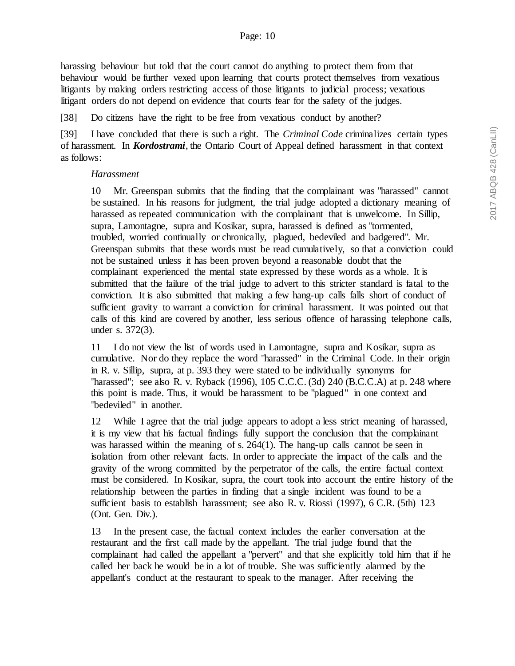harassing behaviour but told that the court cannot do anything to protect them from that behaviour would be further vexed upon learning that courts protect themselves from vexatious litigants by making orders restricting access of those litigants to judicial process; vexatious litigant orders do not depend on evidence that courts fear for the safety of the judges.

[38] Do citizens have the right to be free from vexatious conduct by another?

[39] I have concluded that there is such a right. The *Criminal Code* criminalizes certain types of harassment. In *Kordostrami*, the Ontario Court of Appeal defined harassment in that context as follows:

#### *Harassment*

10 Mr. Greenspan submits that the finding that the complainant was "harassed" cannot be sustained. In his reasons for judgment, the trial judge adopted a dictionary meaning of harassed as repeated communication with the complainant that is unwelcome. In Sillip, supra, Lamontagne, supra and Kosikar, supra, harassed is defined as "tormented, troubled, worried continually or chronically, plagued, bedeviled and badgered". Mr. Greenspan submits that these words must be read cumulatively, so that a conviction could not be sustained unless it has been proven beyond a reasonable doubt that the complainant experienced the mental state expressed by these words as a whole. It is submitted that the failure of the trial judge to advert to this stricter standard is fatal to the conviction. It is also submitted that making a few hang-up calls falls short of conduct of sufficient gravity to warrant a conviction for criminal harassment. It was pointed out that calls of this kind are covered by another, less serious offence of harassing telephone calls, under s. 372(3).

11 I do not view the list of words used in Lamontagne, supra and Kosikar, supra as cumulative. Nor do they replace the word "harassed" in the Criminal Code. In their origin in R. v. Sillip, supra, at p. 393 they were stated to be individually synonyms for "harassed"; see also R. v. Ryback (1996), 105 C.C.C. (3d) 240 (B.C.C.A) at p. 248 where this point is made. Thus, it would be harassment to be "plagued" in one context and "bedeviled" in another.

12 While I agree that the trial judge appears to adopt a less strict meaning of harassed, it is my view that his factual findings fully support the conclusion that the complainant was harassed within the meaning of s. 264(1). The hang-up calls cannot be seen in isolation from other relevant facts. In order to appreciate the impact of the calls and the gravity of the wrong committed by the perpetrator of the calls, the entire factual context must be considered. In Kosikar, supra, the court took into account the entire history of the relationship between the parties in finding that a single incident was found to be a sufficient basis to establish harassment; see also R. v. Riossi (1997), 6 C.R. (5th) 123 (Ont. Gen. Div.).

13 In the present case, the factual context includes the earlier conversation at the restaurant and the first call made by the appellant. The trial judge found that the complainant had called the appellant a "pervert" and that she explicitly told him that if he called her back he would be in a lot of trouble. She was sufficiently alarmed by the appellant's conduct at the restaurant to speak to the manager. After receiving the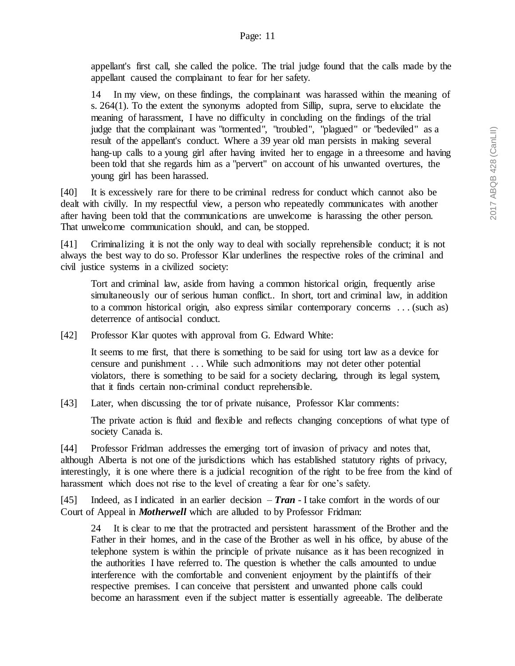appellant's first call, she called the police. The trial judge found that the calls made by the appellant caused the complainant to fear for her safety.

14 In my view, on these findings, the complainant was harassed within the meaning of s. 264(1). To the extent the synonyms adopted from Sillip, supra, serve to elucidate the meaning of harassment, I have no difficulty in concluding on the findings of the trial judge that the complainant was "tormented", "troubled", "plagued" or "bedeviled" as a result of the appellant's conduct. Where a 39 year old man persists in making several hang-up calls to a young girl after having invited her to engage in a threesome and having been told that she regards him as a "pervert" on account of his unwanted overtures, the young girl has been harassed.

[40] It is excessively rare for there to be criminal redress for conduct which cannot also be dealt with civilly. In my respectful view, a person who repeatedly communicates with another after having been told that the communications are unwelcome is harassing the other person. That unwelcome communication should, and can, be stopped.

[41] Criminalizing it is not the only way to deal with socially reprehensible conduct; it is not always the best way to do so. Professor Klar underlines the respective roles of the criminal and civil justice systems in a civilized society:

Tort and criminal law, aside from having a common historical origin, frequently arise simultaneously our of serious human conflict.. In short, tort and criminal law, in addition to a common historical origin, also express similar contemporary concerns . . . (such as) deterrence of antisocial conduct.

[42] Professor Klar quotes with approval from G. Edward White:

It seems to me first, that there is something to be said for using tort law as a device for censure and punishment . . . While such admonitions may not deter other potential violators, there is something to be said for a society declaring, through its legal system, that it finds certain non-criminal conduct reprehensible.

[43] Later, when discussing the tor of private nuisance, Professor Klar comments:

The private action is fluid and flexible and reflects changing conceptions of what type of society Canada is.

[44] Professor Fridman addresses the emerging tort of invasion of privacy and notes that, although Alberta is not one of the jurisdictions which has established statutory rights of privacy, interestingly, it is one where there is a judicial recognition of the right to be free from the kind of harassment which does not rise to the level of creating a fear for one's safety.

[45] Indeed, as I indicated in an earlier decision – *Tran* - I take comfort in the words of our Court of Appeal in *Motherwell* which are alluded to by Professor Fridman:

24 It is clear to me that the protracted and persistent harassment of the Brother and the Father in their homes, and in the case of the Brother as well in his office, by abuse of the telephone system is within the principle of private nuisance as it has been recognized in the authorities I have referred to. The question is whether the calls amounted to undue interference with the comfortable and convenient enjoyment by the plaintiffs of their respective premises. I can conceive that persistent and unwanted phone calls could become an harassment even if the subject matter is essentially agreeable. The deliberate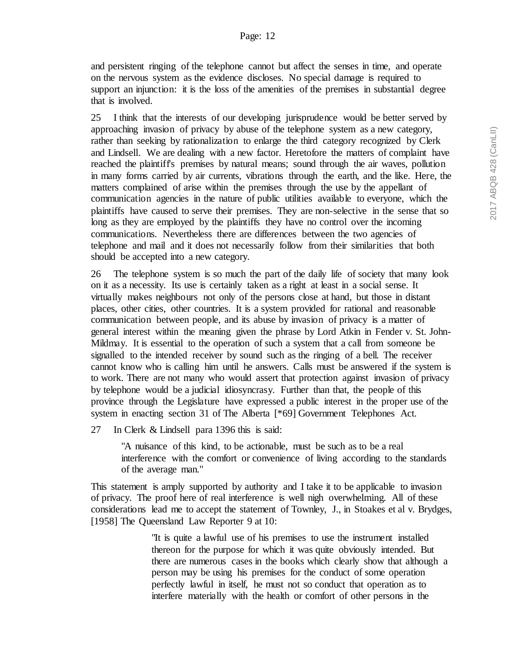and persistent ringing of the telephone cannot but affect the senses in time, and operate on the nervous system as the evidence discloses. No special damage is required to support an injunction: it is the loss of the amenities of the premises in substantial degree that is involved.

25 I think that the interests of our developing jurisprudence would be better served by approaching invasion of privacy by abuse of the telephone system as a new category, rather than seeking by rationalization to enlarge the third category recognized by Clerk and Lindsell. We are dealing with a new factor. Heretofore the matters of complaint have reached the plaintiff's premises by natural means; sound through the air waves, pollution in many forms carried by air currents, vibrations through the earth, and the like. Here, the matters complained of arise within the premises through the use by the appellant of communication agencies in the nature of public utilities available to everyone, which the plaintiffs have caused to serve their premises. They are non-selective in the sense that so long as they are employed by the plaintiffs they have no control over the incoming communications. Nevertheless there are differences between the two agencies of telephone and mail and it does not necessarily follow from their similarities that both should be accepted into a new category.

26 The telephone system is so much the part of the daily life of society that many look on it as a necessity. Its use is certainly taken as a right at least in a social sense. It virtually makes neighbours not only of the persons close at hand, but those in distant places, other cities, other countries. It is a system provided for rational and reasonable communication between people, and its abuse by invasion of privacy is a matter of general interest within the meaning given the phrase by Lord Atkin in Fender v. St. John-Mildmay. It is essential to the operation of such a system that a call from someone be signalled to the intended receiver by sound such as the ringing of a bell. The receiver cannot know who is calling him until he answers. Calls must be answered if the system is to work. There are not many who would assert that protection against invasion of privacy by telephone would be a judicial idiosyncrasy. Further than that, the people of this province through the Legislature have expressed a public interest in the proper use of the system in enacting section 31 of The Alberta [\*69] Government Telephones Act.

27 In Clerk & Lindsell para 1396 this is said:

"A nuisance of this kind, to be actionable, must be such as to be a real interference with the comfort or convenience of living according to the standards of the average man."

This statement is amply supported by authority and I take it to be applicable to invasion of privacy. The proof here of real interference is well nigh overwhelming. All of these considerations lead me to accept the statement of Townley, J., in Stoakes et al v. Brydges, [1958] The Queensland Law Reporter 9 at 10:

> "It is quite a lawful use of his premises to use the instrument installed thereon for the purpose for which it was quite obviously intended. But there are numerous cases in the books which clearly show that although a person may be using his premises for the conduct of some operation perfectly lawful in itself, he must not so conduct that operation as to interfere materially with the health or comfort of other persons in the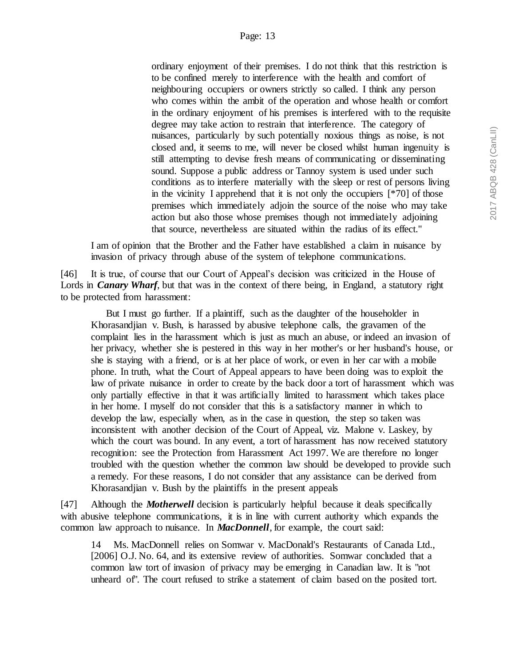ordinary enjoyment of their premises. I do not think that this restriction is to be confined merely to interference with the health and comfort of neighbouring occupiers or owners strictly so called. I think any person who comes within the ambit of the operation and whose health or comfort in the ordinary enjoyment of his premises is interfered with to the requisite degree may take action to restrain that interference. The category of nuisances, particularly by such potentially noxious things as noise, is not closed and, it seems to me, will never be closed whilst human ingenuity is still attempting to devise fresh means of communicating or disseminating sound. Suppose a public address or Tannoy system is used under such conditions as to interfere materially with the sleep or rest of persons living in the vicinity I apprehend that it is not only the occupiers  $[*/70]$  of those premises which immediately adjoin the source of the noise who may take action but also those whose premises though not immediately adjoining that source, nevertheless are situated within the radius of its effect."

I am of opinion that the Brother and the Father have established a claim in nuisance by invasion of privacy through abuse of the system of telephone communications.

[46] It is true, of course that our Court of Appeal's decision was criticized in the House of Lords in *Canary Wharf*, but that was in the context of there being, in England, a statutory right to be protected from harassment:

 But I must go further. If a plaintiff, such as the daughter of the householder in Khorasandjian v. Bush, is harassed by abusive telephone calls, the gravamen of the complaint lies in the harassment which is just as much an abuse, or indeed an invasion of her privacy, whether she is pestered in this way in her mother's or her husband's house, or she is staying with a friend, or is at her place of work, or even in her car with a mobile phone. In truth, what the Court of Appeal appears to have been doing was to exploit the law of private nuisance in order to create by the back door a tort of harassment which was only partially effective in that it was artificially limited to harassment which takes place in her home. I myself do not consider that this is a satisfactory manner in which to develop the law, especially when, as in the case in question, the step so taken was inconsistent with another decision of the Court of Appeal, viz. Malone v. Laskey, by which the court was bound. In any event, a tort of harassment has now received statutory recognition: see the Protection from Harassment Act 1997. We are therefore no longer troubled with the question whether the common law should be developed to provide such a remedy. For these reasons, I do not consider that any assistance can be derived from Khorasandjian v. Bush by the plaintiffs in the present appeals

[47] Although the *Motherwell* decision is particularly helpful because it deals specifically with abusive telephone communications, it is in line with current authority which expands the common law approach to nuisance. In *MacDonnell*, for example, the court said:

14 Ms. MacDonnell relies on Somwar v. MacDonald's Restaurants of Canada Ltd., [2006] O.J. No. 64, and its extensive review of authorities. Somwar concluded that a common law tort of invasion of privacy may be emerging in Canadian law. It is "not unheard of". The court refused to strike a statement of claim based on the posited tort.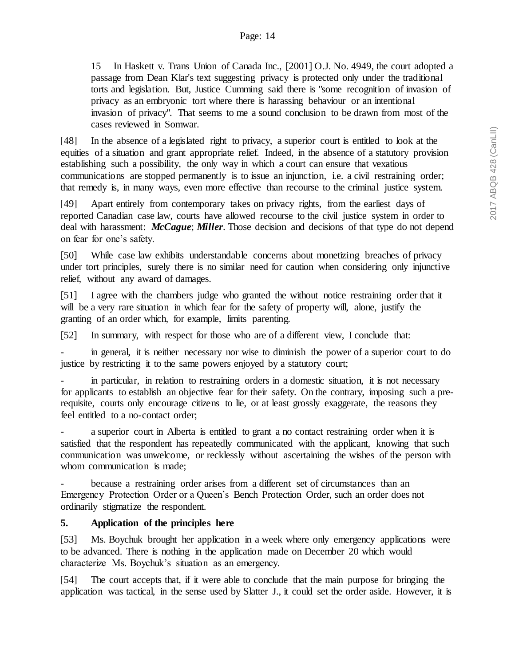15 In Haskett v. Trans Union of Canada Inc., [2001] O.J. No. 4949, the court adopted a passage from Dean Klar's text suggesting privacy is protected only under the traditional torts and legislation. But, Justice Cumming said there is "some recognition of invasion of privacy as an embryonic tort where there is harassing behaviour or an intentional invasion of privacy". That seems to me a sound conclusion to be drawn from most of the cases reviewed in Somwar.

[48] In the absence of a legislated right to privacy, a superior court is entitled to look at the equities of a situation and grant appropriate relief. Indeed, in the absence of a statutory provision establishing such a possibility, the only way in which a court can ensure that vexatious communications are stopped permanently is to issue an injunction, i.e. a civil restraining order; that remedy is, in many ways, even more effective than recourse to the criminal justice system.

[49] Apart entirely from contemporary takes on privacy rights, from the earliest days of reported Canadian case law, courts have allowed recourse to the civil justice system in order to deal with harassment: *McCague*; *Miller*. Those decision and decisions of that type do not depend on fear for one's safety.

[50] While case law exhibits understandable concerns about monetizing breaches of privacy under tort principles, surely there is no similar need for caution when considering only injunctive relief, without any award of damages.

[51] I agree with the chambers judge who granted the without notice restraining order that it will be a very rare situation in which fear for the safety of property will, alone, justify the granting of an order which, for example, limits parenting.

[52] In summary, with respect for those who are of a different view, I conclude that:

in general, it is neither necessary nor wise to diminish the power of a superior court to do justice by restricting it to the same powers enjoyed by a statutory court;

in particular, in relation to restraining orders in a domestic situation, it is not necessary for applicants to establish an objective fear for their safety. On the contrary, imposing such a prerequisite, courts only encourage citizens to lie, or at least grossly exaggerate, the reasons they feel entitled to a no-contact order;

a superior court in Alberta is entitled to grant a no contact restraining order when it is satisfied that the respondent has repeatedly communicated with the applicant, knowing that such communication was unwelcome, or recklessly without ascertaining the wishes of the person with whom communication is made;

because a restraining order arises from a different set of circumstances than an Emergency Protection Order or a Queen's Bench Protection Order, such an order does not ordinarily stigmatize the respondent.

#### **5. Application of the principles here**

[53] Ms. Boychuk brought her application in a week where only emergency applications were to be advanced. There is nothing in the application made on December 20 which would characterize Ms. Boychuk's situation as an emergency.

[54] The court accepts that, if it were able to conclude that the main purpose for bringing the application was tactical, in the sense used by Slatter J., it could set the order aside. However, it is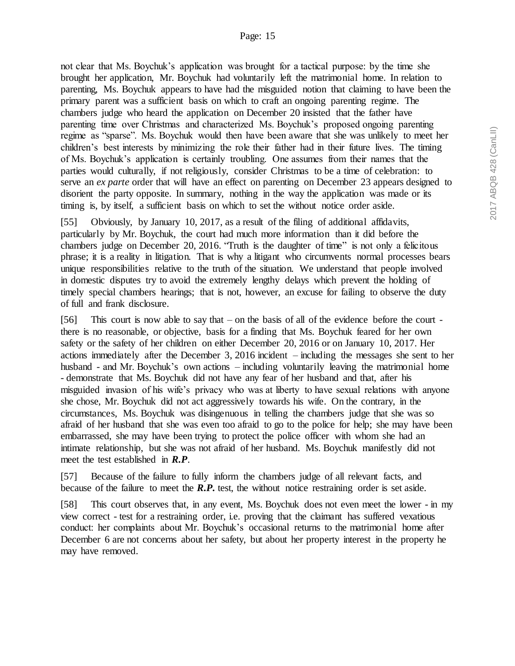not clear that Ms. Boychuk's application was brought for a tactical purpose: by the time she brought her application, Mr. Boychuk had voluntarily left the matrimonial home. In relation to parenting, Ms. Boychuk appears to have had the misguided notion that claiming to have been the primary parent was a sufficient basis on which to craft an ongoing parenting regime. The chambers judge who heard the application on December 20 insisted that the father have parenting time over Christmas and characterized Ms. Boychuk's proposed ongoing parenting regime as "sparse". Ms. Boychuk would then have been aware that she was unlikely to meet her children's best interests by minimizing the role their father had in their future lives. The timing of Ms. Boychuk's application is certainly troubling. One assumes from their names that the parties would culturally, if not religiously, consider Christmas to be a time of celebration: to serve an *ex parte* order that will have an effect on parenting on December 23 appears designed to disorient the party opposite. In summary, nothing in the way the application was made or its timing is, by itself, a sufficient basis on which to set the without notice order aside.

[55] Obviously, by January 10, 2017, as a result of the filing of additional affidavits, particularly by Mr. Boychuk, the court had much more information than it did before the chambers judge on December 20, 2016. "Truth is the daughter of time" is not only a felicitous phrase; it is a reality in litigation. That is why a litigant who circumvents normal processes bears unique responsibilities relative to the truth of the situation. We understand that people involved in domestic disputes try to avoid the extremely lengthy delays which prevent the holding of timely special chambers hearings; that is not, however, an excuse for failing to observe the duty of full and frank disclosure.

[56] This court is now able to say that – on the basis of all of the evidence before the court there is no reasonable, or objective, basis for a finding that Ms. Boychuk feared for her own safety or the safety of her children on either December 20, 2016 or on January 10, 2017. Her actions immediately after the December 3, 2016 incident – including the messages she sent to her husband - and Mr. Boychuk's own actions – including voluntarily leaving the matrimonial home - demonstrate that Ms. Boychuk did not have any fear of her husband and that, after his misguided invasion of his wife's privacy who was at liberty to have sexual relations with anyone she chose, Mr. Boychuk did not act aggressively towards his wife. On the contrary, in the circumstances, Ms. Boychuk was disingenuous in telling the chambers judge that she was so afraid of her husband that she was even too afraid to go to the police for help; she may have been embarrassed, she may have been trying to protect the police officer with whom she had an intimate relationship, but she was not afraid of her husband. Ms. Boychuk manifestly did not meet the test established in *R.P*.

[57] Because of the failure to fully inform the chambers judge of all relevant facts, and because of the failure to meet the *R.P.* test, the without notice restraining order is set aside.

[58] This court observes that, in any event, Ms. Boychuk does not even meet the lower - in my view correct - test for a restraining order, i.e. proving that the claimant has suffered vexatious conduct: her complaints about Mr. Boychuk's occasional returns to the matrimonial home after December 6 are not concerns about her safety, but about her property interest in the property he may have removed.